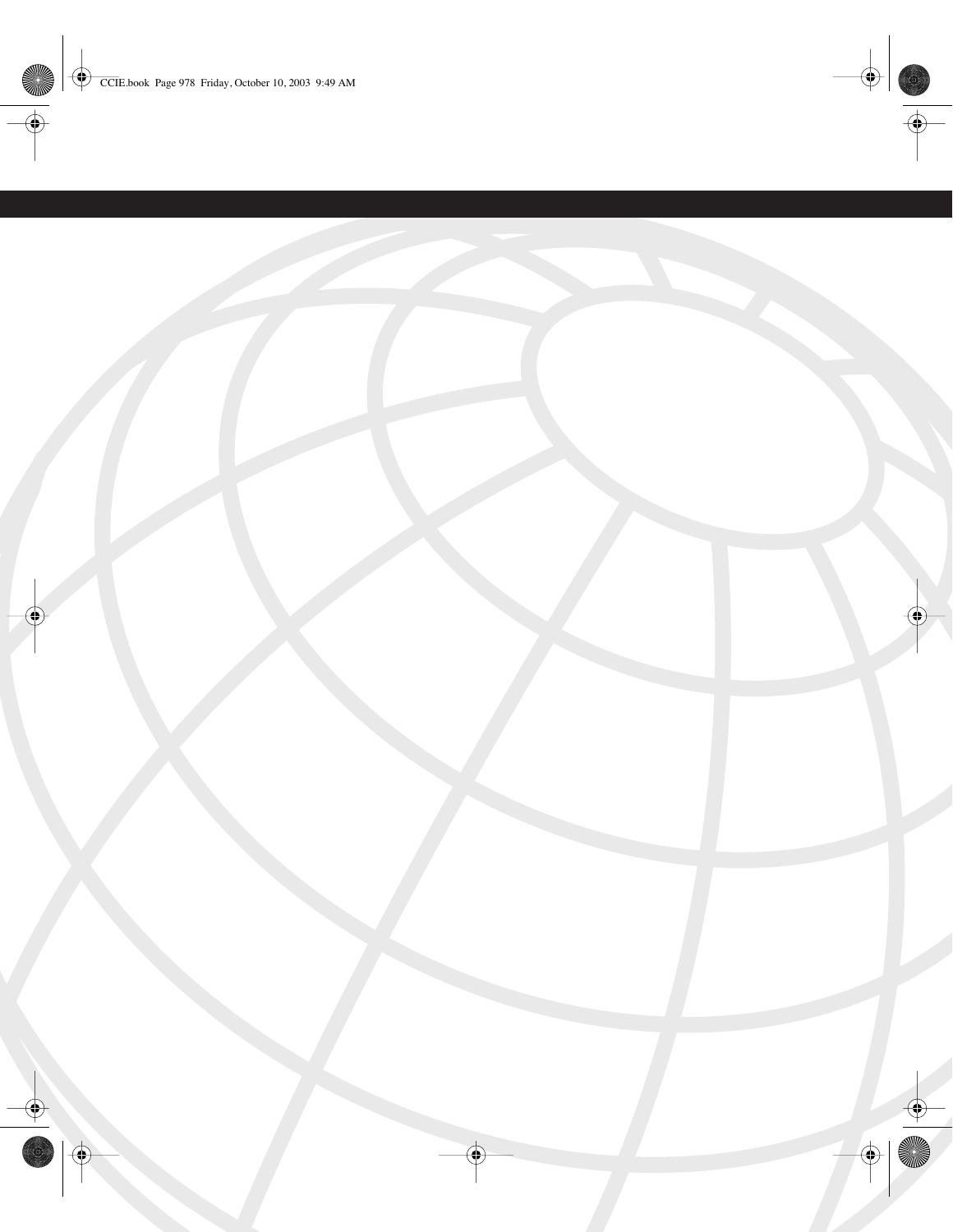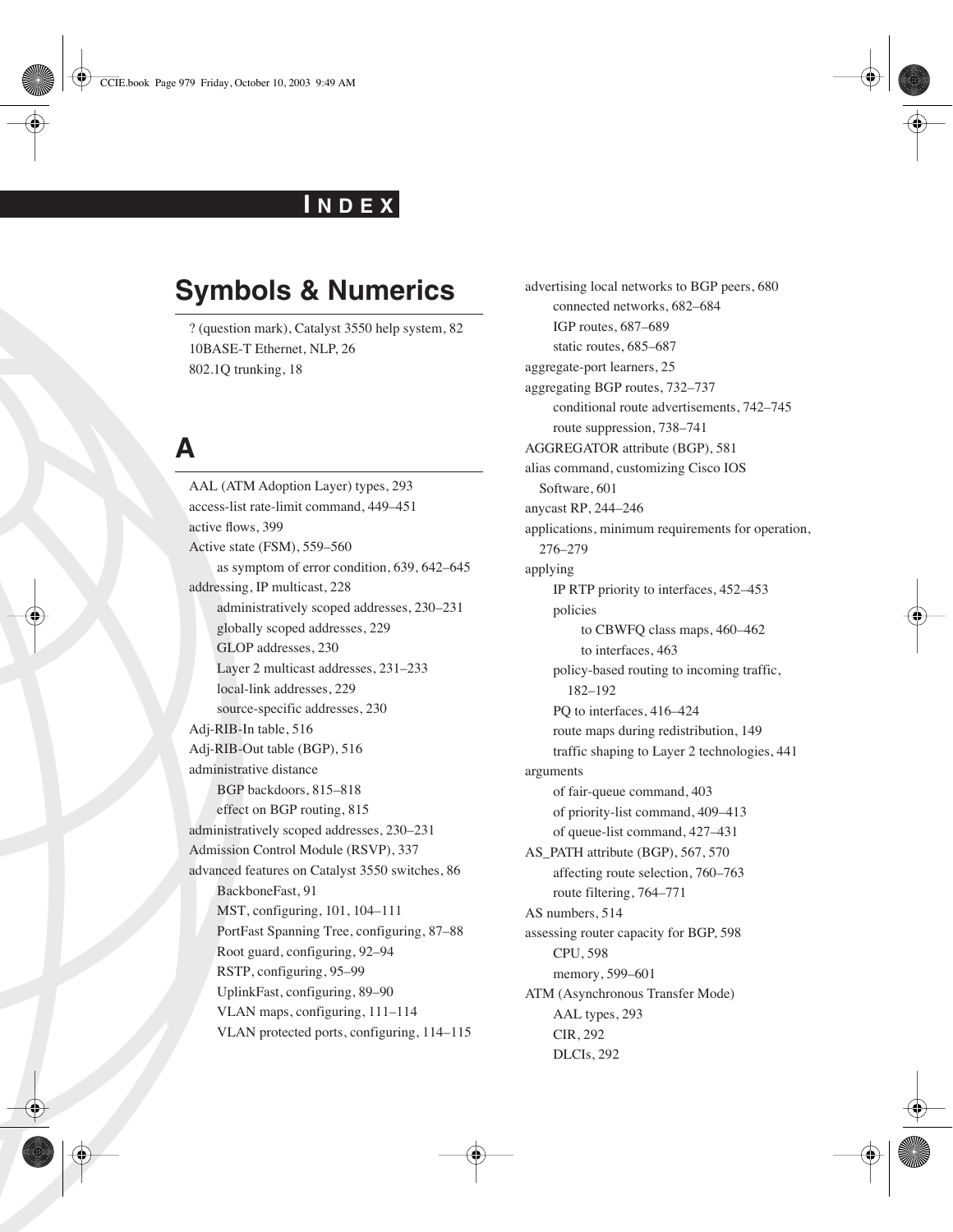### **I N D E X**

## **Symbols & Numerics**

? (question mark), Catalyst 3550 help system, 82 10BASE-T Ethernet, NLP, 26 802.1Q trunking, 18

## **A**

AAL (ATM Adoption Layer) types, 293 access-list rate-limit command, 449–451 active flows, 399 Active state (FSM), 559–560 as symptom of error condition, 639, 642–645 addressing, IP multicast, 228 administratively scoped addresses, 230–231 globally scoped addresses, 229 GLOP addresses, 230 Layer 2 multicast addresses, 231–233 local-link addresses, 229 source-specific addresses, 230 Adj-RIB-In table, 516 Adj-RIB-Out table (BGP), 516 administrative distance BGP backdoors, 815–818 effect on BGP routing, 815 administratively scoped addresses, 230–231 Admission Control Module (RSVP), 337 advanced features on Catalyst 3550 switches, 86 BackboneFast, 91 MST, configuring, 101, 104–111 PortFast Spanning Tree, configuring, 87–88 Root guard, configuring, 92–94 RSTP, configuring, 95–99 UplinkFast, configuring, 89–90 VLAN maps, configuring, 111–114 VLAN protected ports, configuring, 114–115 advertising local networks to BGP peers, 680 connected networks, 682–684 IGP routes, 687–689 static routes, 685–687 aggregate-port learners, 25 aggregating BGP routes, 732–737 conditional route advertisements, 742–745 route suppression, 738–741 AGGREGATOR attribute (BGP), 581 alias command, customizing Cisco IOS Software, 601 anycast RP, 244–246 applications, minimum requirements for operation, 276–279 applying IP RTP priority to interfaces, 452–453 policies to CBWFQ class maps, 460–462 to interfaces, 463 policy-based routing to incoming traffic, 182–192 PQ to interfaces, 416–424 route maps during redistribution, 149 traffic shaping to Layer 2 technologies, 441 arguments of fair-queue command, 403 of priority-list command, 409–413 of queue-list command, 427–431 AS\_PATH attribute (BGP), 567, 570 affecting route selection, 760–763 route filtering, 764–771 AS numbers, 514 assessing router capacity for BGP, 598 CPU, 598 memory, 599–601 ATM (Asynchronous Transfer Mode) AAL types, 293 CIR, 292 DLCIs, 292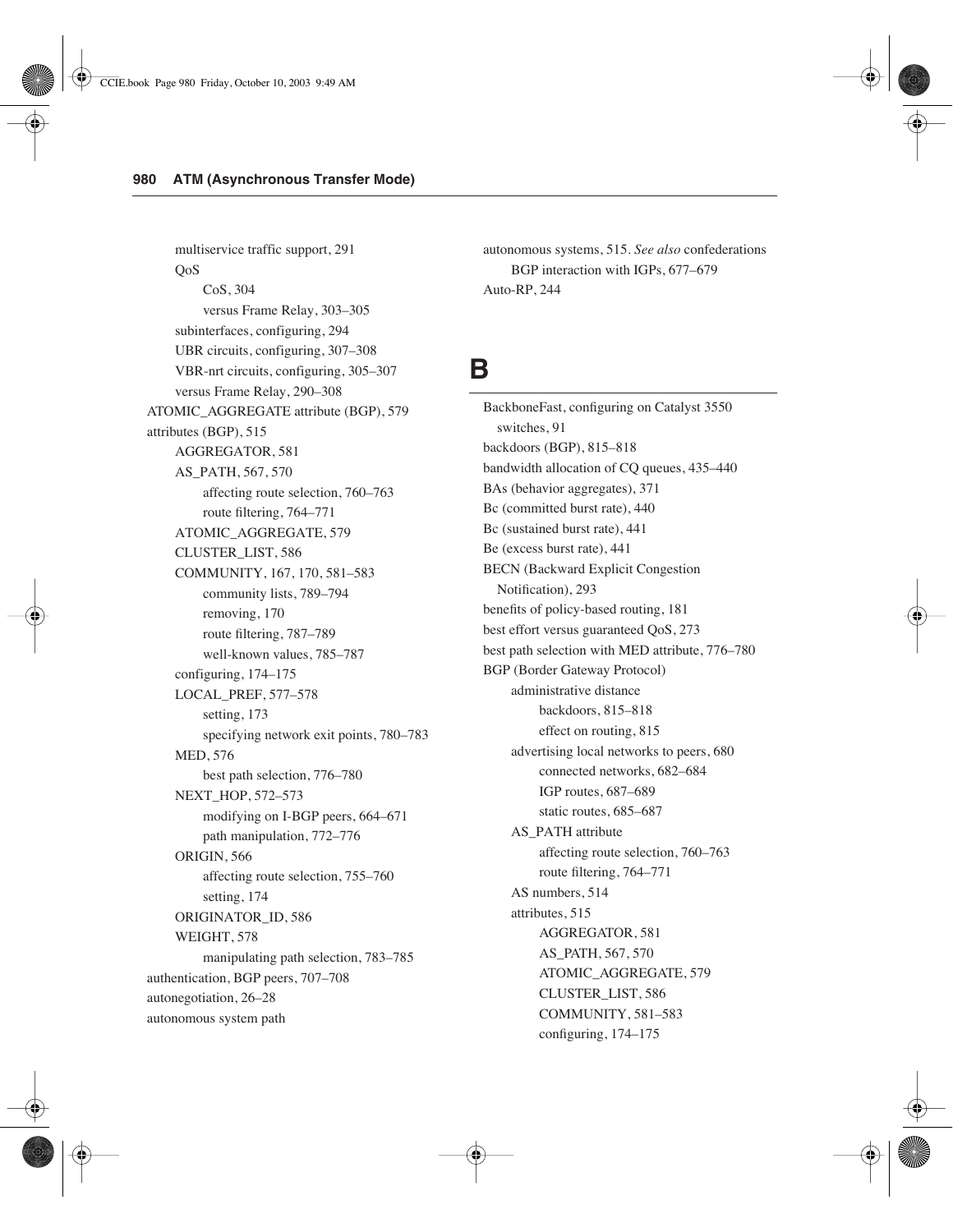multiservice traffic support, 291 QoS CoS, 304 versus Frame Relay, 303–305 subinterfaces, configuring, 294 UBR circuits, configuring, 307–308 VBR-nrt circuits, configuring, 305–307 versus Frame Relay, 290–308 ATOMIC\_AGGREGATE attribute (BGP), 579 attributes (BGP), 515 AGGREGATOR, 581 AS\_PATH, 567, 570 affecting route selection, 760–763 route filtering, 764–771 ATOMIC\_AGGREGATE, 579 CLUSTER\_LIST, 586 COMMUNITY, 167, 170, 581–583 community lists, 789–794 removing, 170 route filtering, 787–789 well-known values, 785–787 configuring, 174–175 LOCAL\_PREF, 577–578 setting, 173 specifying network exit points, 780–783 MED, 576 best path selection, 776–780 NEXT\_HOP, 572–573 modifying on I-BGP peers, 664–671 path manipulation, 772–776 ORIGIN, 566 affecting route selection, 755–760 setting, 174 ORIGINATOR\_ID, 586 WEIGHT, 578 manipulating path selection, 783–785 authentication, BGP peers, 707–708 autonegotiation, 26–28 autonomous system path

autonomous systems, 515. *See also* confederations BGP interaction with IGPs, 677–679 Auto-RP, 244

### **B**

BackboneFast, configuring on Catalyst 3550 switches, 91 backdoors (BGP), 815–818 bandwidth allocation of CQ queues, 435–440 BAs (behavior aggregates), 371 Bc (committed burst rate), 440 Bc (sustained burst rate), 441 Be (excess burst rate), 441 BECN (Backward Explicit Congestion Notification), 293 benefits of policy-based routing, 181 best effort versus guaranteed QoS, 273 best path selection with MED attribute, 776–780 BGP (Border Gateway Protocol) administrative distance backdoors, 815–818 effect on routing, 815 advertising local networks to peers, 680 connected networks, 682–684 IGP routes, 687–689 static routes, 685–687 AS\_PATH attribute affecting route selection, 760–763 route filtering, 764–771 AS numbers, 514 attributes, 515 AGGREGATOR, 581 AS\_PATH, 567, 570 ATOMIC\_AGGREGATE, 579 CLUSTER\_LIST, 586 COMMUNITY, 581–583 configuring, 174–175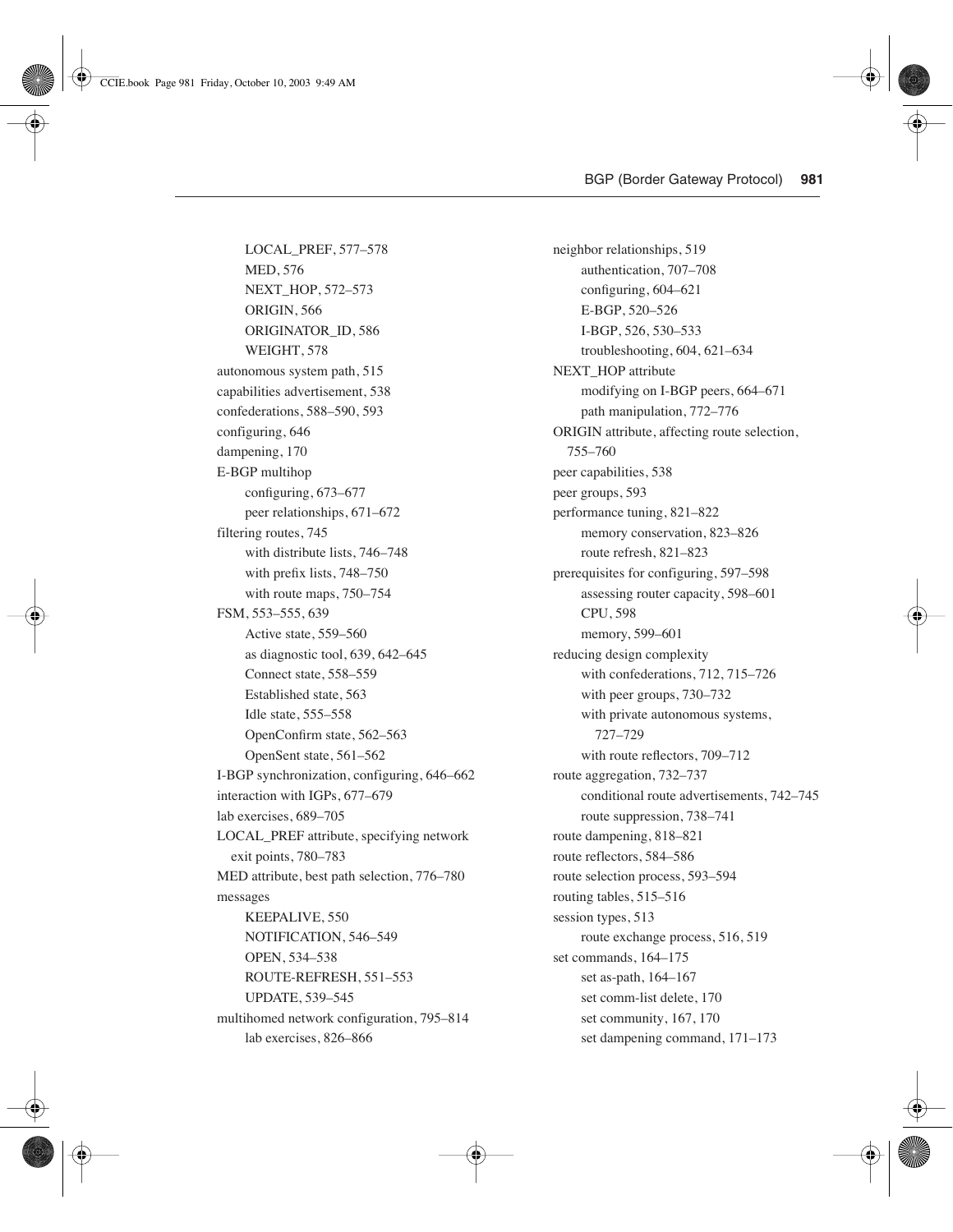LOCAL\_PREF, 577–578 MED, 576 NEXT\_HOP, 572–573 ORIGIN, 566 ORIGINATOR\_ID, 586 WEIGHT, 578 autonomous system path, 515 capabilities advertisement, 538 confederations, 588–590, 593 configuring, 646 dampening, 170 E-BGP multihop configuring, 673–677 peer relationships, 671–672 filtering routes, 745 with distribute lists, 746–748 with prefix lists, 748–750 with route maps, 750–754 FSM, 553–555, 639 Active state, 559–560 as diagnostic tool, 639, 642–645 Connect state, 558–559 Established state, 563 Idle state, 555–558 OpenConfirm state, 562–563 OpenSent state, 561–562 I-BGP synchronization, configuring, 646–662 interaction with IGPs, 677–679 lab exercises, 689–705 LOCAL\_PREF attribute, specifying network exit points, 780–783 MED attribute, best path selection, 776–780 messages KEEPALIVE, 550 NOTIFICATION, 546–549 OPEN, 534–538 ROUTE-REFRESH, 551–553 UPDATE, 539–545 multihomed network configuration, 795–814 lab exercises, 826–866

neighbor relationships, 519 authentication, 707–708 configuring, 604–621 E-BGP, 520–526 I-BGP, 526, 530–533 troubleshooting, 604, 621–634 NEXT\_HOP attribute modifying on I-BGP peers, 664–671 path manipulation, 772–776 ORIGIN attribute, affecting route selection, 755–760 peer capabilities, 538 peer groups, 593 performance tuning, 821–822 memory conservation, 823–826 route refresh, 821–823 prerequisites for configuring, 597–598 assessing router capacity, 598–601 CPU, 598 memory, 599–601 reducing design complexity with confederations, 712, 715–726 with peer groups, 730–732 with private autonomous systems, 727–729 with route reflectors, 709–712 route aggregation, 732–737 conditional route advertisements, 742–745 route suppression, 738–741 route dampening, 818–821 route reflectors, 584–586 route selection process, 593–594 routing tables, 515–516 session types, 513 route exchange process, 516, 519 set commands, 164–175 set as-path, 164–167 set comm-list delete, 170 set community, 167, 170 set dampening command, 171–173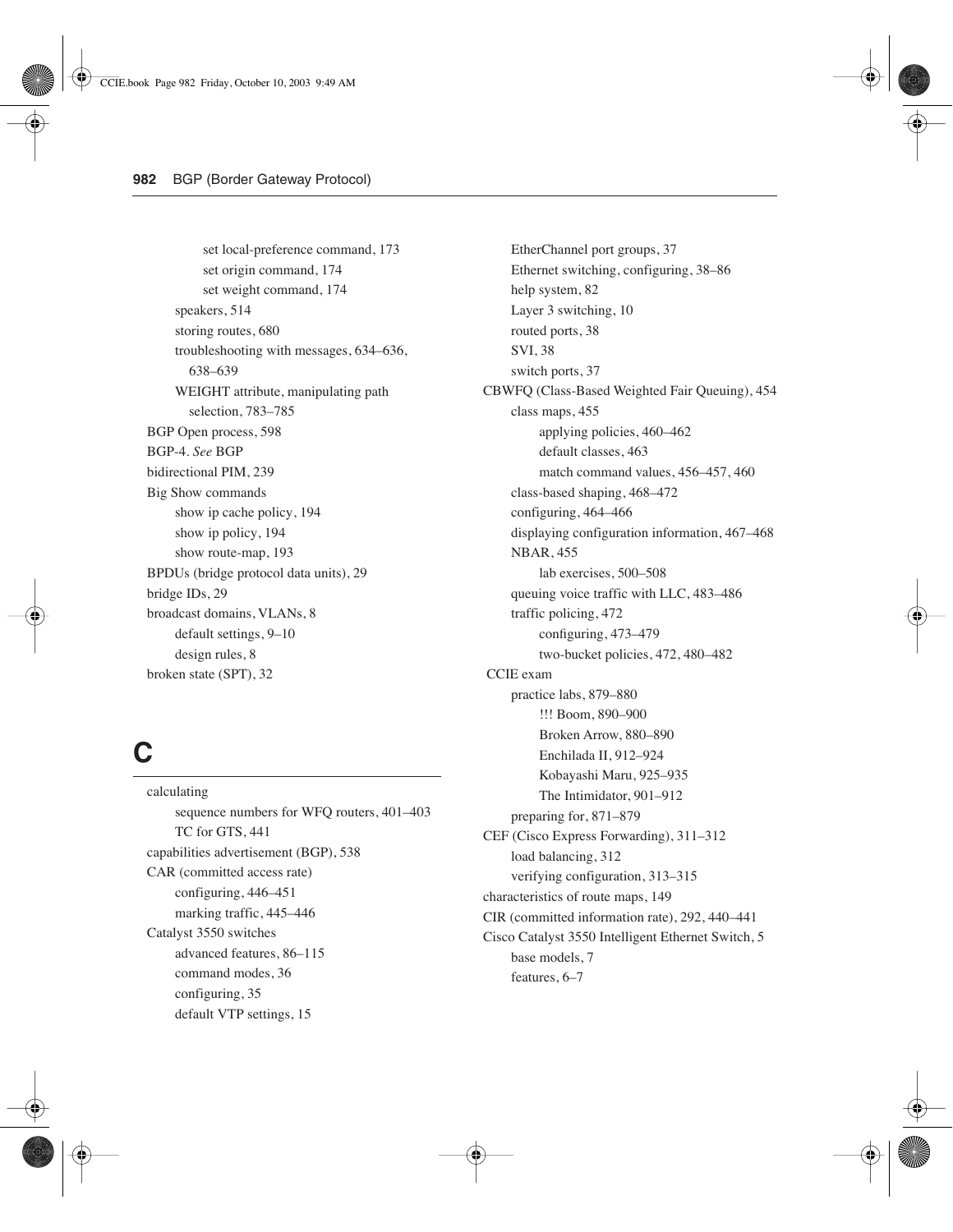set local-preference command, 173 set origin command, 174 set weight command, 174 speakers, 514 storing routes, 680 troubleshooting with messages, 634–636, 638–639 WEIGHT attribute, manipulating path selection, 783–785 BGP Open process, 598 BGP-4. *See* BGP bidirectional PIM, 239 Big Show commands show ip cache policy, 194 show ip policy, 194 show route-map, 193 BPDUs (bridge protocol data units), 29 bridge IDs, 29 broadcast domains, VLANs, 8 default settings, 9–10 design rules, 8 broken state (SPT), 32

# **C**

calculating sequence numbers for WFQ routers, 401–403 TC for GTS, 441 capabilities advertisement (BGP), 538 CAR (committed access rate) configuring, 446–451 marking traffic, 445–446 Catalyst 3550 switches advanced features, 86–115 command modes, 36 configuring, 35 default VTP settings, 15

EtherChannel port groups, 37 Ethernet switching, configuring, 38–86 help system, 82 Layer 3 switching, 10 routed ports, 38 SVI, 38 switch ports, 37 CBWFQ (Class-Based Weighted Fair Queuing), 454 class maps, 455 applying policies, 460–462 default classes, 463 match command values, 456–457, 460 class-based shaping, 468–472 configuring, 464–466 displaying configuration information, 467–468 NBAR, 455 lab exercises, 500–508 queuing voice traffic with LLC, 483–486 traffic policing, 472 configuring, 473–479 two-bucket policies, 472, 480–482 CCIE exam practice labs, 879–880 !!! Boom, 890–900 Broken Arrow, 880–890 Enchilada II, 912–924 Kobayashi Maru, 925–935 The Intimidator, 901–912 preparing for, 871–879 CEF (Cisco Express Forwarding), 311–312 load balancing, 312 verifying configuration, 313–315 characteristics of route maps, 149 CIR (committed information rate), 292, 440–441 Cisco Catalyst 3550 Intelligent Ethernet Switch, 5 base models, 7 features, 6–7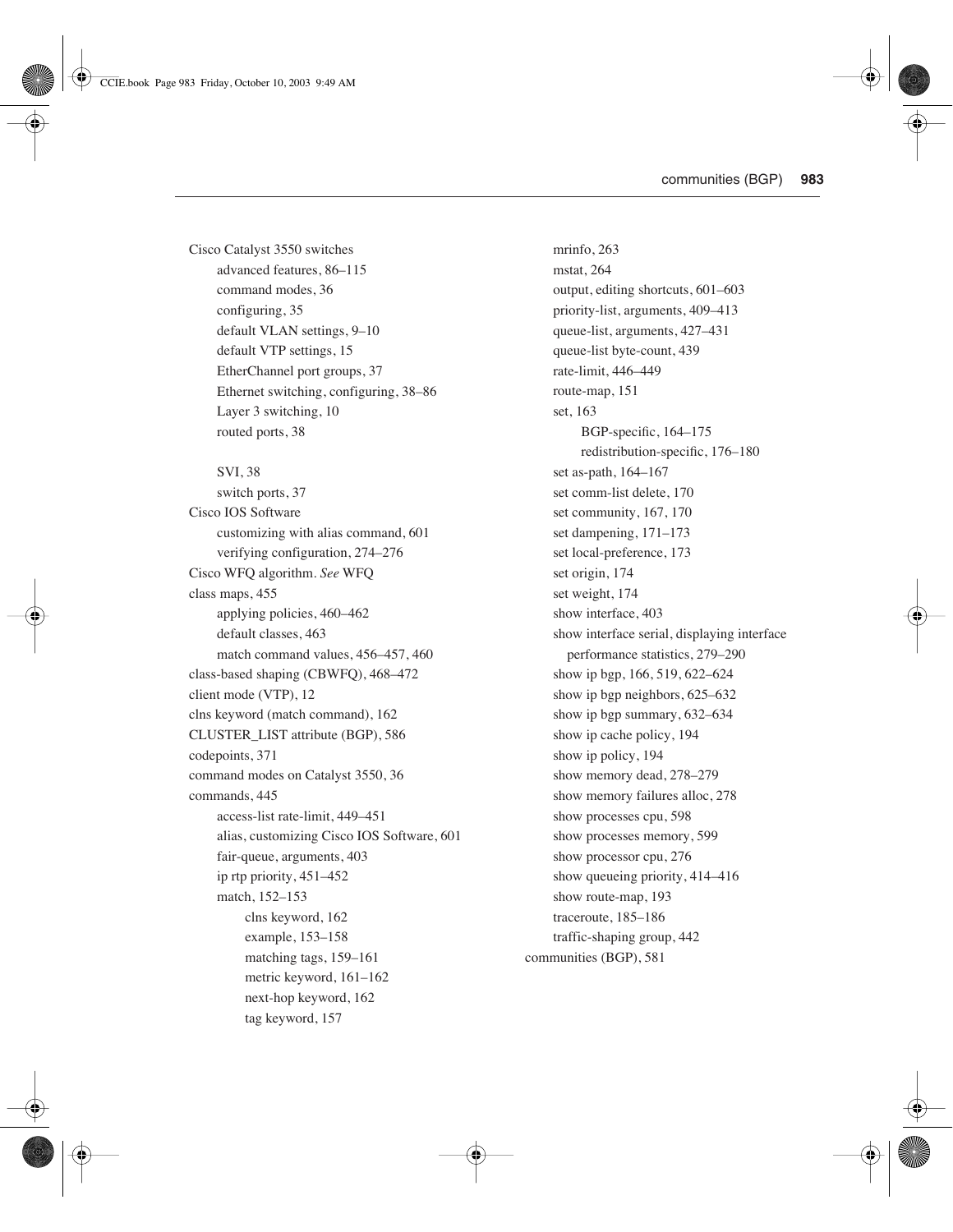Cisco Catalyst 3550 switches advanced features, 86–115 command modes, 36 configuring, 35 default VLAN settings, 9–10 default VTP settings, 15 EtherChannel port groups, 37 Ethernet switching, configuring, 38–86 Layer 3 switching, 10 routed ports, 38

SVI, 38 switch ports, 37 Cisco IOS Software customizing with alias command, 601 verifying configuration, 274–276 Cisco WFQ algorithm. *See* WFQ class maps, 455 applying policies, 460–462 default classes, 463 match command values, 456–457, 460 class-based shaping (CBWFQ), 468–472 client mode (VTP), 12 clns keyword (match command), 162 CLUSTER\_LIST attribute (BGP), 586 codepoints, 371 command modes on Catalyst 3550, 36 commands, 445 access-list rate-limit, 449–451 alias, customizing Cisco IOS Software, 601 fair-queue, arguments, 403 ip rtp priority, 451–452 match, 152–153 clns keyword, 162 example, 153–158 matching tags, 159–161 metric keyword, 161–162 next-hop keyword, 162 tag keyword, 157

mrinfo, 263 mstat, 264 output, editing shortcuts, 601–603 priority-list, arguments, 409–413 queue-list, arguments, 427–431 queue-list byte-count, 439 rate-limit, 446–449 route-map, 151 set, 163 BGP-specific, 164–175 redistribution-specific, 176–180 set as-path, 164–167 set comm-list delete, 170 set community, 167, 170 set dampening, 171–173 set local-preference, 173 set origin, 174 set weight, 174 show interface, 403 show interface serial, displaying interface performance statistics, 279–290 show ip bgp, 166, 519, 622–624 show ip bgp neighbors, 625–632 show ip bgp summary, 632–634 show ip cache policy, 194 show ip policy, 194 show memory dead, 278–279 show memory failures alloc, 278 show processes cpu, 598 show processes memory, 599 show processor cpu, 276 show queueing priority, 414–416 show route-map, 193 traceroute, 185–186 traffic-shaping group, 442 communities (BGP), 581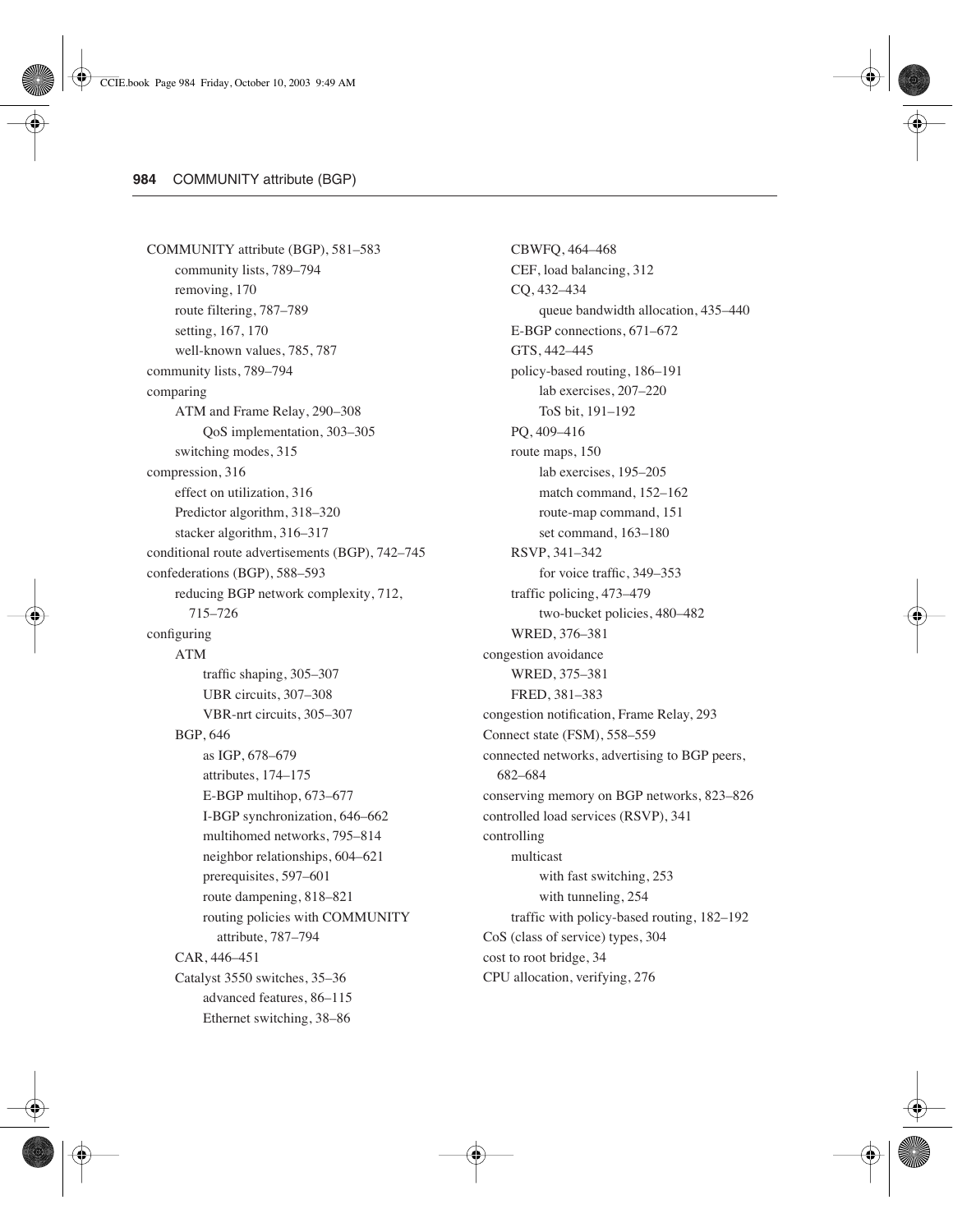COMMUNITY attribute (BGP), 581–583 community lists, 789–794 removing, 170 route filtering, 787–789 setting, 167, 170 well-known values, 785, 787 community lists, 789–794 comparing ATM and Frame Relay, 290–308 QoS implementation, 303–305 switching modes, 315 compression, 316 effect on utilization, 316 Predictor algorithm, 318–320 stacker algorithm, 316–317 conditional route advertisements (BGP), 742–745 confederations (BGP), 588–593 reducing BGP network complexity, 712, 715–726 configuring ATM traffic shaping, 305–307 UBR circuits, 307–308 VBR-nrt circuits, 305–307 BGP, 646 as IGP, 678–679 attributes, 174–175 E-BGP multihop, 673–677 I-BGP synchronization, 646–662 multihomed networks, 795–814 neighbor relationships, 604–621 prerequisites, 597–601 route dampening, 818–821 routing policies with COMMUNITY attribute, 787–794 CAR, 446–451 Catalyst 3550 switches, 35–36 advanced features, 86–115 Ethernet switching, 38–86

CBWFQ, 464–468 CEF, load balancing, 312 CQ, 432–434 queue bandwidth allocation, 435–440 E-BGP connections, 671–672 GTS, 442–445 policy-based routing, 186–191 lab exercises, 207–220 ToS bit, 191–192 PQ, 409–416 route maps, 150 lab exercises, 195–205 match command, 152–162 route-map command, 151 set command, 163–180 RSVP, 341–342 for voice traffic, 349–353 traffic policing, 473–479 two-bucket policies, 480–482 WRED, 376–381 congestion avoidance WRED, 375–381 FRED, 381–383 congestion notification, Frame Relay, 293 Connect state (FSM), 558–559 connected networks, advertising to BGP peers, 682–684 conserving memory on BGP networks, 823–826 controlled load services (RSVP), 341 controlling multicast with fast switching, 253 with tunneling, 254 traffic with policy-based routing, 182–192 CoS (class of service) types, 304 cost to root bridge, 34 CPU allocation, verifying, 276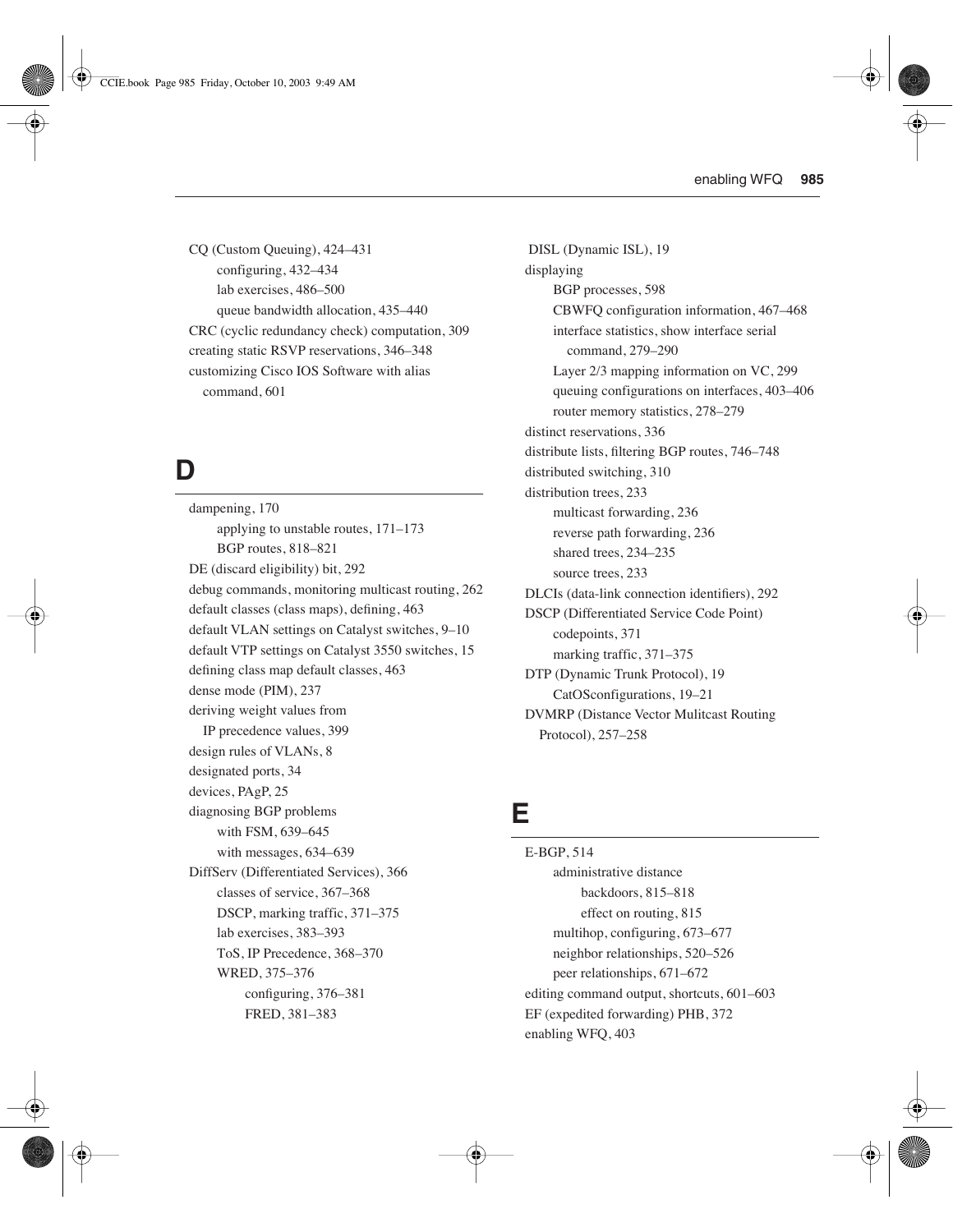CQ (Custom Queuing), 424–431 configuring, 432–434 lab exercises, 486–500 queue bandwidth allocation, 435–440 CRC (cyclic redundancy check) computation, 309 creating static RSVP reservations, 346–348 customizing Cisco IOS Software with alias command, 601

# **D**

dampening, 170 applying to unstable routes, 171–173 BGP routes, 818–821 DE (discard eligibility) bit, 292 debug commands, monitoring multicast routing, 262 default classes (class maps), defining, 463 default VLAN settings on Catalyst switches, 9–10 default VTP settings on Catalyst 3550 switches, 15 defining class map default classes, 463 dense mode (PIM), 237 deriving weight values from IP precedence values, 399 design rules of VLANs, 8 designated ports, 34 devices, PAgP, 25 diagnosing BGP problems with FSM, 639–645 with messages, 634–639 DiffServ (Differentiated Services), 366 classes of service, 367–368 DSCP, marking traffic, 371–375 lab exercises, 383–393 ToS, IP Precedence, 368–370 WRED, 375–376 configuring, 376–381 FRED, 381–383

 DISL (Dynamic ISL), 19 displaying BGP processes, 598 CBWFQ configuration information, 467–468 interface statistics, show interface serial command, 279–290 Layer 2/3 mapping information on VC, 299 queuing configurations on interfaces, 403–406 router memory statistics, 278–279 distinct reservations, 336 distribute lists, filtering BGP routes, 746–748 distributed switching, 310 distribution trees, 233 multicast forwarding, 236 reverse path forwarding, 236 shared trees, 234–235 source trees, 233 DLCIs (data-link connection identifiers), 292 DSCP (Differentiated Service Code Point) codepoints, 371 marking traffic, 371–375 DTP (Dynamic Trunk Protocol), 19 CatOSconfigurations, 19–21 DVMRP (Distance Vector Mulitcast Routing Protocol), 257–258

## **E**

E-BGP, 514 administrative distance backdoors, 815–818 effect on routing, 815 multihop, configuring, 673–677 neighbor relationships, 520–526 peer relationships, 671–672 editing command output, shortcuts, 601–603 EF (expedited forwarding) PHB, 372 enabling WFQ, 403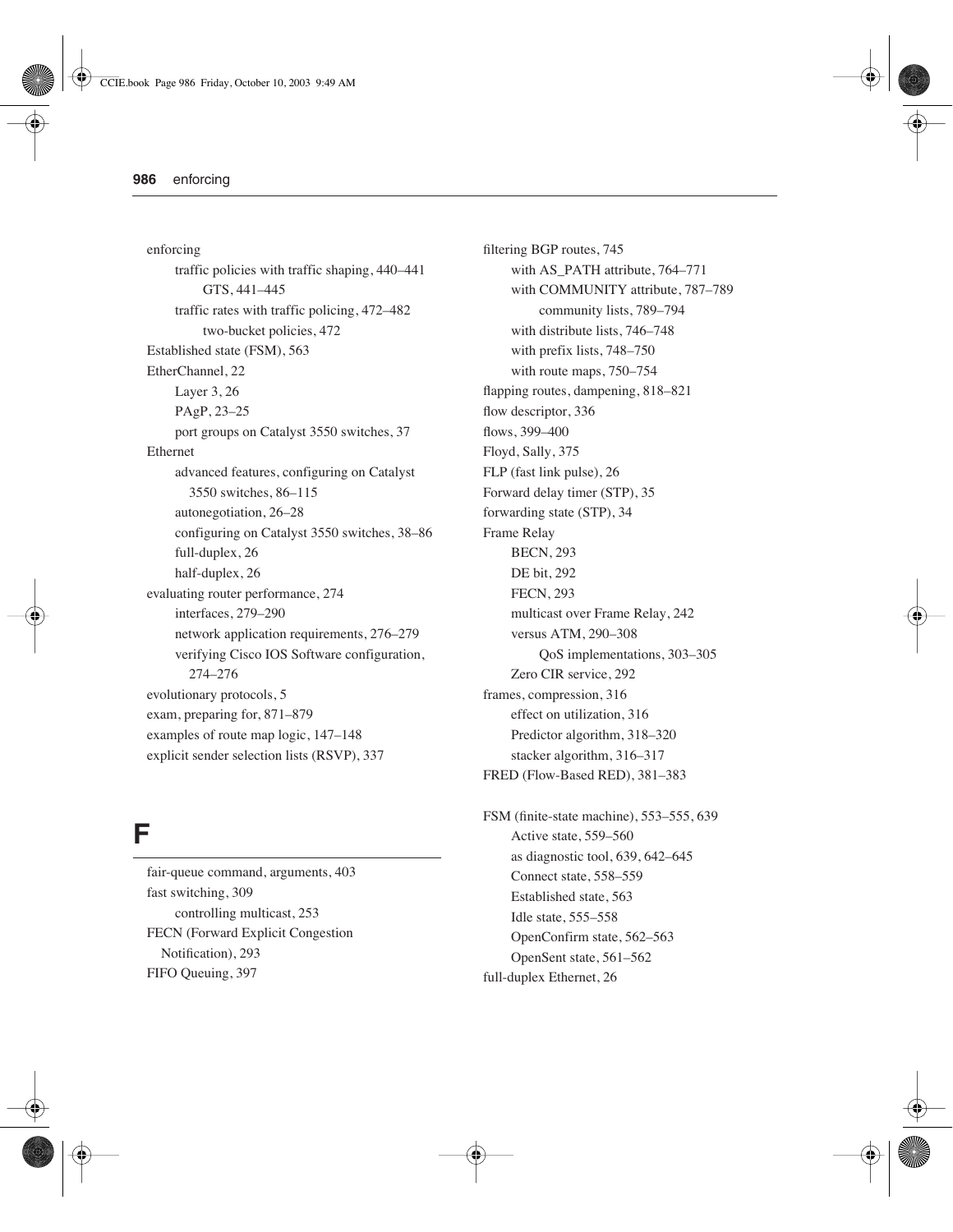enforcing traffic policies with traffic shaping, 440–441 GTS, 441–445 traffic rates with traffic policing, 472–482 two-bucket policies, 472 Established state (FSM), 563 EtherChannel, 22 Layer 3, 26 PAgP, 23–25 port groups on Catalyst 3550 switches, 37 Ethernet advanced features, configuring on Catalyst 3550 switches, 86–115 autonegotiation, 26–28 configuring on Catalyst 3550 switches, 38–86 full-duplex, 26 half-duplex, 26 evaluating router performance, 274 interfaces, 279–290 network application requirements, 276–279 verifying Cisco IOS Software configuration, 274–276 evolutionary protocols, 5 exam, preparing for, 871–879 examples of route map logic, 147–148 explicit sender selection lists (RSVP), 337

## **F**

fair-queue command, arguments, 403 fast switching, 309 controlling multicast, 253 FECN (Forward Explicit Congestion Notification), 293 FIFO Queuing, 397

filtering BGP routes, 745 with AS\_PATH attribute, 764–771 with COMMUNITY attribute, 787–789 community lists, 789–794 with distribute lists, 746–748 with prefix lists, 748–750 with route maps, 750–754 flapping routes, dampening, 818–821 flow descriptor, 336 flows, 399–400 Floyd, Sally, 375 FLP (fast link pulse), 26 Forward delay timer (STP), 35 forwarding state (STP), 34 Frame Relay BECN, 293 DE bit, 292 FECN, 293 multicast over Frame Relay, 242 versus ATM, 290–308 QoS implementations, 303–305 Zero CIR service, 292 frames, compression, 316 effect on utilization, 316 Predictor algorithm, 318–320 stacker algorithm, 316–317 FRED (Flow-Based RED), 381–383

FSM (finite-state machine), 553–555, 639 Active state, 559–560 as diagnostic tool, 639, 642–645 Connect state, 558–559 Established state, 563 Idle state, 555–558 OpenConfirm state, 562–563 OpenSent state, 561–562 full-duplex Ethernet, 26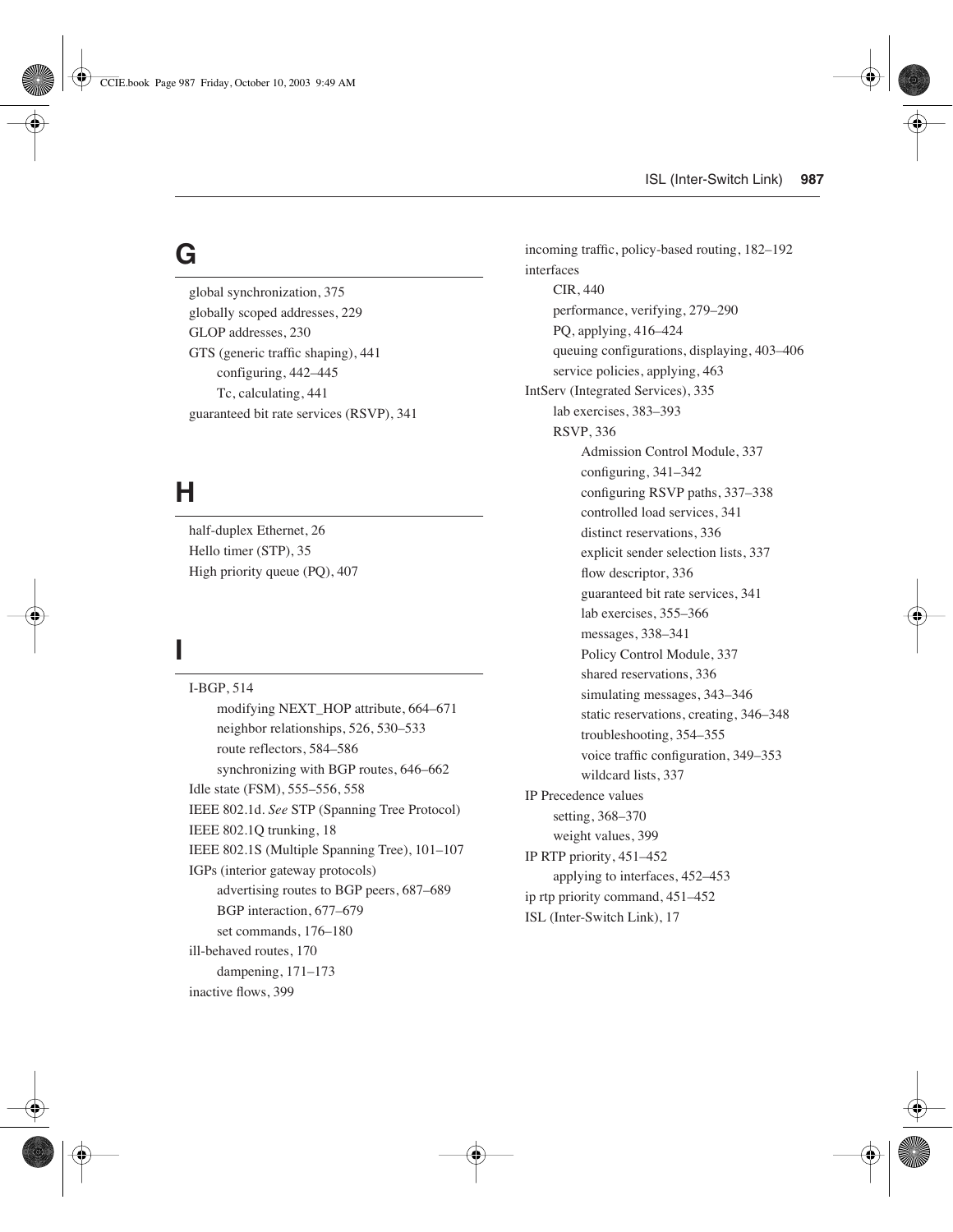# **G**

global synchronization, 375 globally scoped addresses, 229 GLOP addresses, 230 GTS (generic traffic shaping), 441 configuring, 442–445 Tc, calculating, 441 guaranteed bit rate services (RSVP), 341

## **H**

half-duplex Ethernet, 26 Hello timer (STP), 35 High priority queue (PQ), 407

### I-BGP, 514

**I**

| modifying NEXT_HOP attribute, 664-671         |
|-----------------------------------------------|
| neighbor relationships, 526, 530–533          |
| route reflectors, 584–586                     |
| synchronizing with BGP routes, 646–662        |
| Idle state (FSM), 555–556, 558                |
| IEEE 802.1d. See STP (Spanning Tree Protocol) |
| IEEE 802.1Q trunking, 18                      |
| IEEE 802.1S (Multiple Spanning Tree), 101–107 |
| IGPs (interior gateway protocols)             |
| advertising routes to BGP peers, 687–689      |
| BGP interaction, 677–679                      |
| set commands, 176–180                         |
| ill-behaved routes, 170                       |
| dampening, $171-173$                          |
| inactive flows, 399                           |

incoming traffic, policy-based routing, 182–192 interfaces CIR, 440 performance, verifying, 279–290 PQ, applying, 416–424 queuing configurations, displaying, 403–406 service policies, applying, 463 IntServ (Integrated Services), 335 lab exercises, 383–393 RSVP, 336 Admission Control Module, 337 configuring, 341–342 configuring RSVP paths, 337–338 controlled load services, 341 distinct reservations, 336 explicit sender selection lists, 337 flow descriptor, 336 guaranteed bit rate services, 341 lab exercises, 355–366 messages, 338–341 Policy Control Module, 337 shared reservations, 336 simulating messages, 343–346 static reservations, creating, 346–348 troubleshooting, 354–355 voice traffic configuration, 349–353 wildcard lists, 337 IP Precedence values setting, 368–370 weight values, 399 IP RTP priority, 451–452 applying to interfaces, 452–453 ip rtp priority command, 451–452 ISL (Inter-Switch Link), 17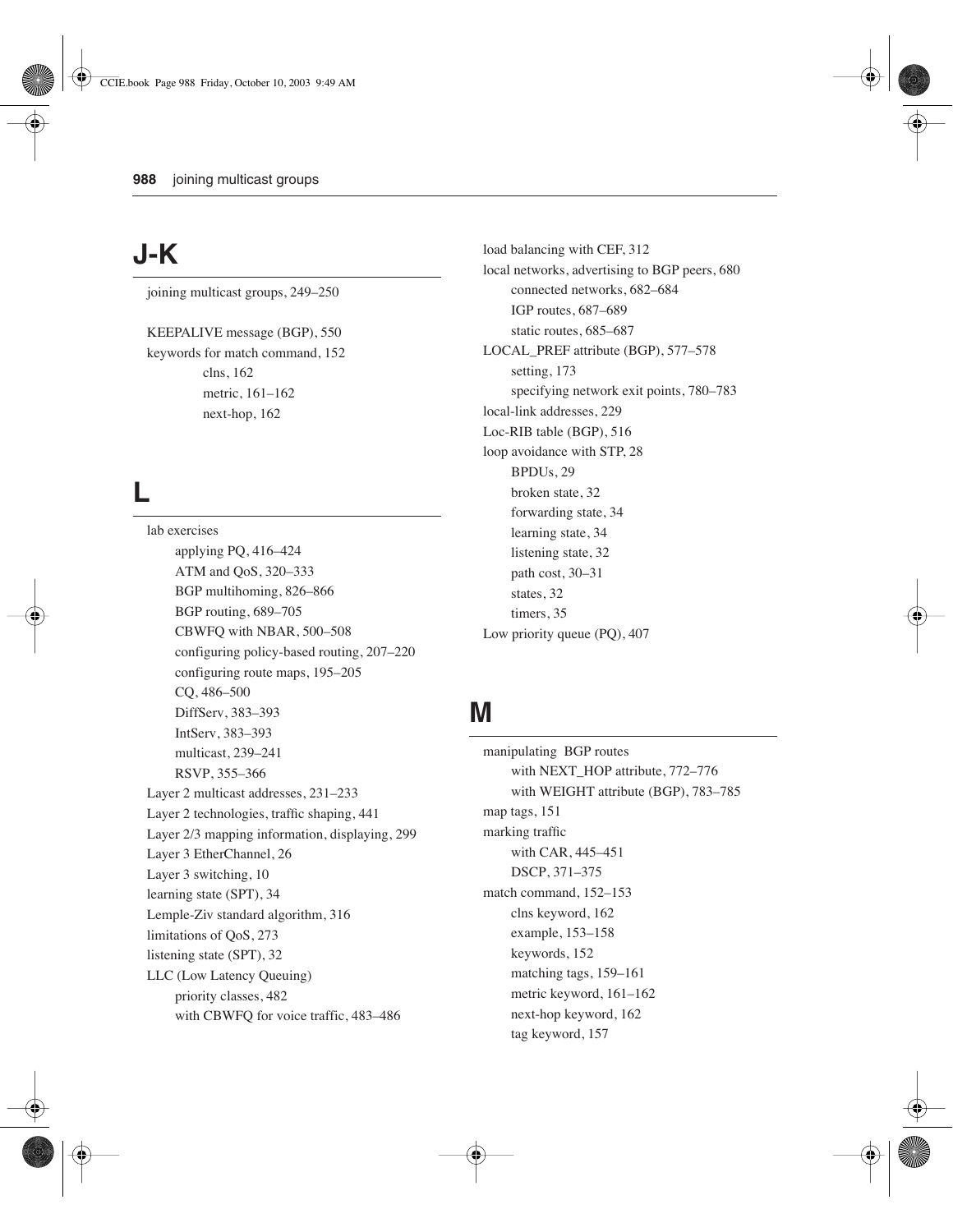# **J-K**

joining multicast groups, 249–250

### KEEPALIVE message (BGP), 550

keywords for match command, 152 clns, 162 metric, 161–162 next-hop, 162

#### lab exercises

**L**

applying PQ, 416–424 ATM and QoS, 320–333 BGP multihoming, 826–866 BGP routing, 689–705 CBWFQ with NBAR, 500–508 configuring policy-based routing, 207–220 configuring route maps, 195–205 CQ, 486–500 DiffServ, 383–393 IntServ, 383–393 multicast, 239–241 RSVP, 355–366 Layer 2 multicast addresses, 231–233 Layer 2 technologies, traffic shaping, 441 Layer 2/3 mapping information, displaying, 299 Layer 3 EtherChannel, 26 Layer 3 switching, 10 learning state (SPT), 34 Lemple-Ziv standard algorithm, 316 limitations of QoS, 273 listening state (SPT), 32 LLC (Low Latency Queuing) priority classes, 482 with CBWFQ for voice traffic, 483–486

load balancing with CEF, 312 local networks, advertising to BGP peers, 680 connected networks, 682–684 IGP routes, 687–689 static routes, 685–687 LOCAL\_PREF attribute (BGP), 577–578 setting, 173 specifying network exit points, 780–783 local-link addresses, 229 Loc-RIB table (BGP), 516 loop avoidance with STP, 28 BPDUs, 29 broken state, 32 forwarding state, 34 learning state, 34 listening state, 32 path cost, 30–31 states, 32 timers, 35 Low priority queue (PQ), 407

### **M**

manipulating BGP routes with NEXT\_HOP attribute, 772–776 with WEIGHT attribute (BGP), 783–785 map tags, 151 marking traffic with CAR, 445–451 DSCP, 371–375 match command, 152–153 clns keyword, 162 example, 153–158 keywords, 152 matching tags, 159–161 metric keyword, 161–162 next-hop keyword, 162 tag keyword, 157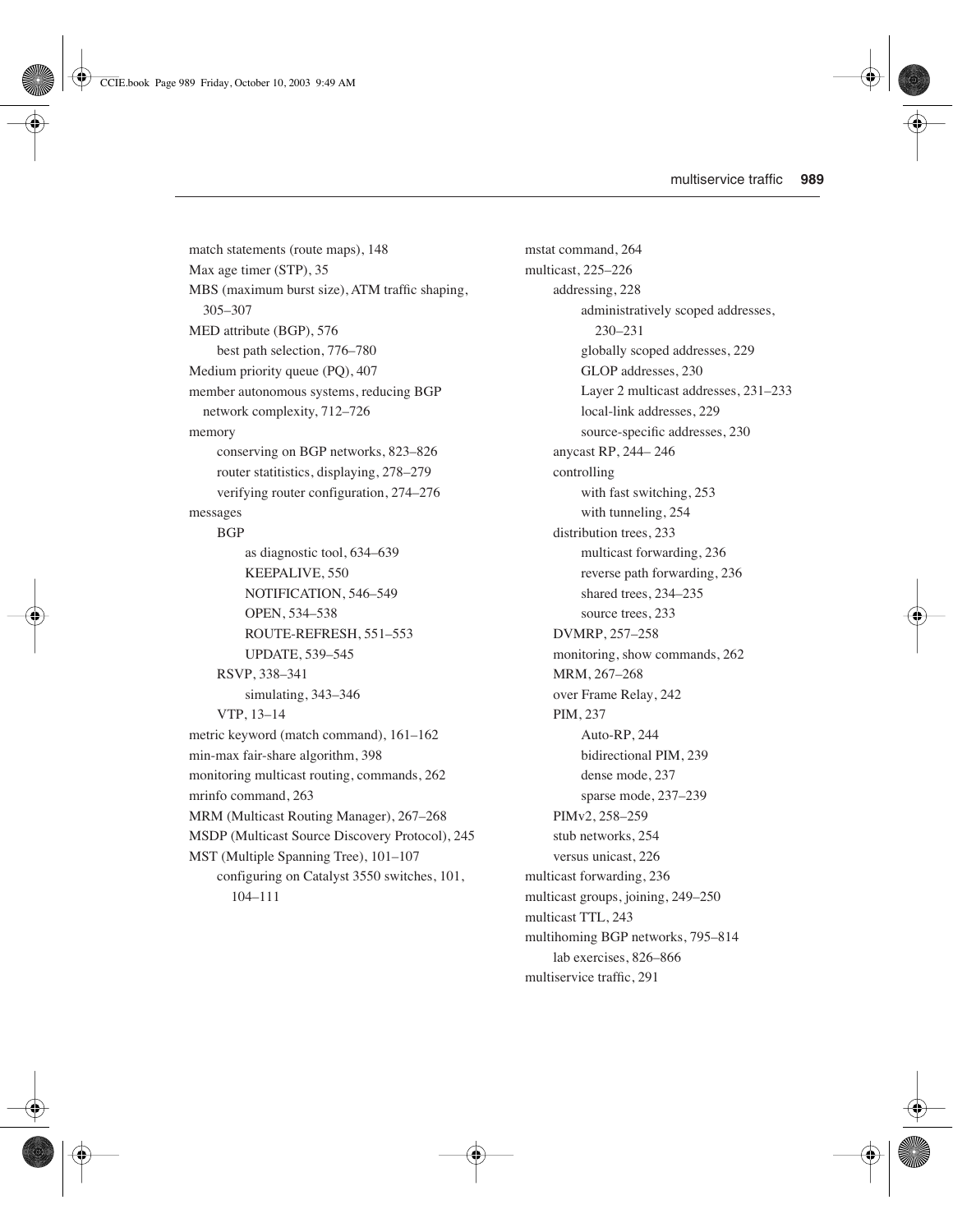match statements (route maps), 148 Max age timer (STP), 35 MBS (maximum burst size), ATM traffic shaping, 305–307 MED attribute (BGP), 576 best path selection, 776–780 Medium priority queue (PQ), 407 member autonomous systems, reducing BGP network complexity, 712–726 memory conserving on BGP networks, 823–826 router statitistics, displaying, 278–279 verifying router configuration, 274–276 messages BGP as diagnostic tool, 634–639 KEEPALIVE, 550 NOTIFICATION, 546–549 OPEN, 534–538 ROUTE-REFRESH, 551–553 UPDATE, 539–545 RSVP, 338–341 simulating, 343–346 VTP, 13–14 metric keyword (match command), 161–162 min-max fair-share algorithm, 398 monitoring multicast routing, commands, 262 mrinfo command, 263 MRM (Multicast Routing Manager), 267–268 MSDP (Multicast Source Discovery Protocol), 245 MST (Multiple Spanning Tree), 101–107 configuring on Catalyst 3550 switches, 101, 104–111

mstat command, 264 multicast, 225–226 addressing, 228 administratively scoped addresses, 230–231 globally scoped addresses, 229 GLOP addresses, 230 Layer 2 multicast addresses, 231–233 local-link addresses, 229 source-specific addresses, 230 anycast RP, 244– 246 controlling with fast switching, 253 with tunneling, 254 distribution trees, 233 multicast forwarding, 236 reverse path forwarding, 236 shared trees, 234–235 source trees, 233 DVMRP, 257–258 monitoring, show commands, 262 MRM, 267–268 over Frame Relay, 242 PIM, 237 Auto-RP, 244 bidirectional PIM, 239 dense mode, 237 sparse mode, 237–239 PIMv2, 258–259 stub networks, 254 versus unicast, 226 multicast forwarding, 236 multicast groups, joining, 249–250 multicast TTL, 243 multihoming BGP networks, 795–814 lab exercises, 826–866 multiservice traffic, 291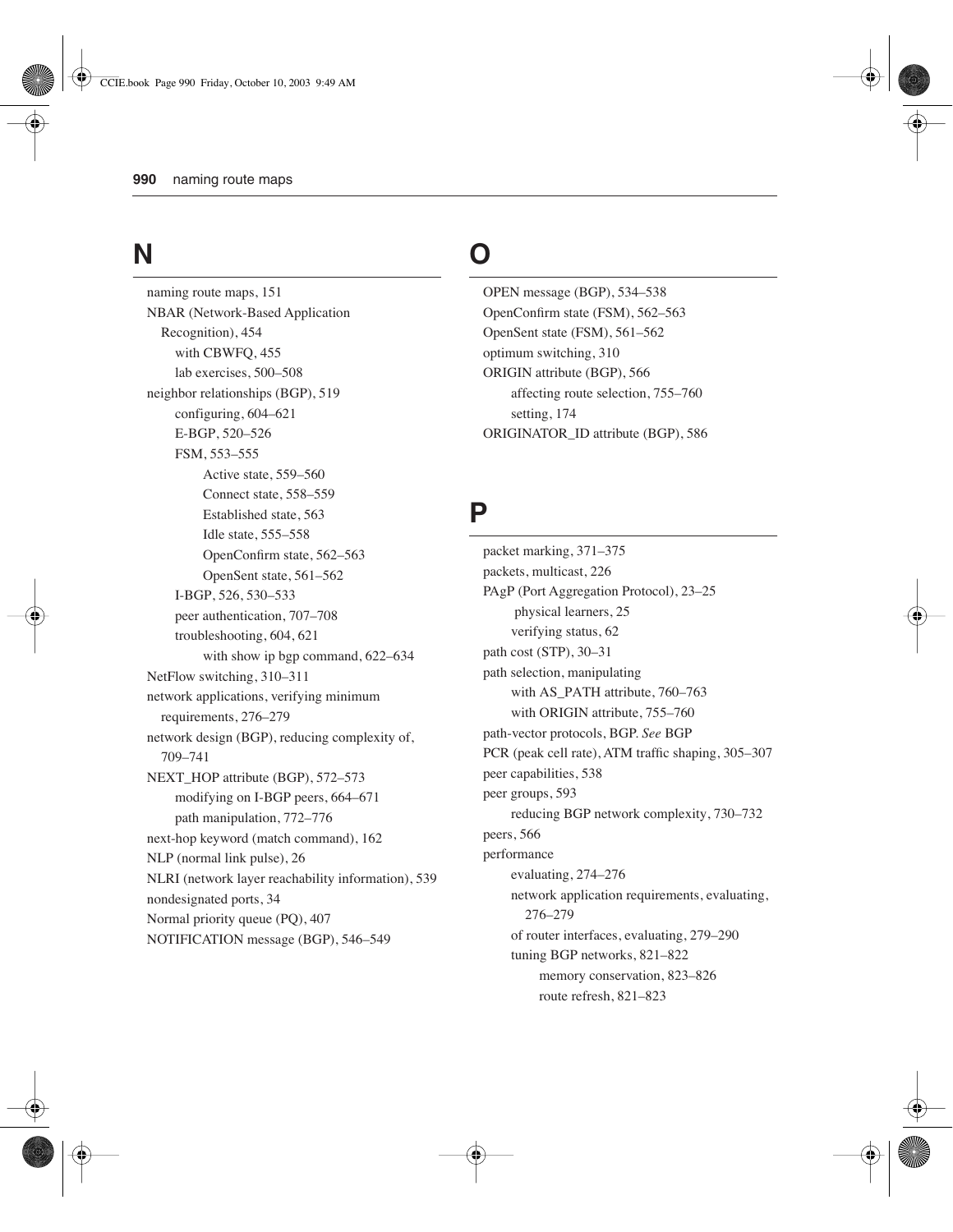# **N**

naming route maps, 151 NBAR (Network-Based Application Recognition), 454 with CBWFQ, 455 lab exercises, 500–508 neighbor relationships (BGP), 519 configuring, 604–621 E-BGP, 520–526 FSM, 553–555 Active state, 559–560 Connect state, 558–559 Established state, 563 Idle state, 555–558 OpenConfirm state, 562–563 OpenSent state, 561–562 I-BGP, 526, 530–533 peer authentication, 707–708 troubleshooting, 604, 621 with show ip bgp command,  $622-634$ NetFlow switching, 310–311 network applications, verifying minimum requirements, 276–279 network design (BGP), reducing complexity of, 709–741 NEXT HOP attribute (BGP), 572–573 modifying on I-BGP peers, 664–671 path manipulation, 772–776 next-hop keyword (match command), 162 NLP (normal link pulse), 26 NLRI (network layer reachability information), 539 nondesignated ports, 34 Normal priority queue (PQ), 407 NOTIFICATION message (BGP), 546–549

## **O**

OPEN message (BGP), 534–538 OpenConfirm state (FSM), 562–563 OpenSent state (FSM), 561–562 optimum switching, 310 ORIGIN attribute (BGP), 566 affecting route selection, 755–760 setting, 174 ORIGINATOR\_ID attribute (BGP), 586

### **P**

packet marking, 371–375 packets, multicast, 226 PAgP (Port Aggregation Protocol), 23–25 physical learners, 25 verifying status, 62 path cost (STP), 30–31 path selection, manipulating with AS\_PATH attribute, 760–763 with ORIGIN attribute, 755–760 path-vector protocols, BGP. *See* BGP PCR (peak cell rate), ATM traffic shaping, 305–307 peer capabilities, 538 peer groups, 593 reducing BGP network complexity, 730–732 peers, 566 performance evaluating, 274–276 network application requirements, evaluating, 276–279 of router interfaces, evaluating, 279–290 tuning BGP networks, 821–822 memory conservation, 823–826 route refresh, 821–823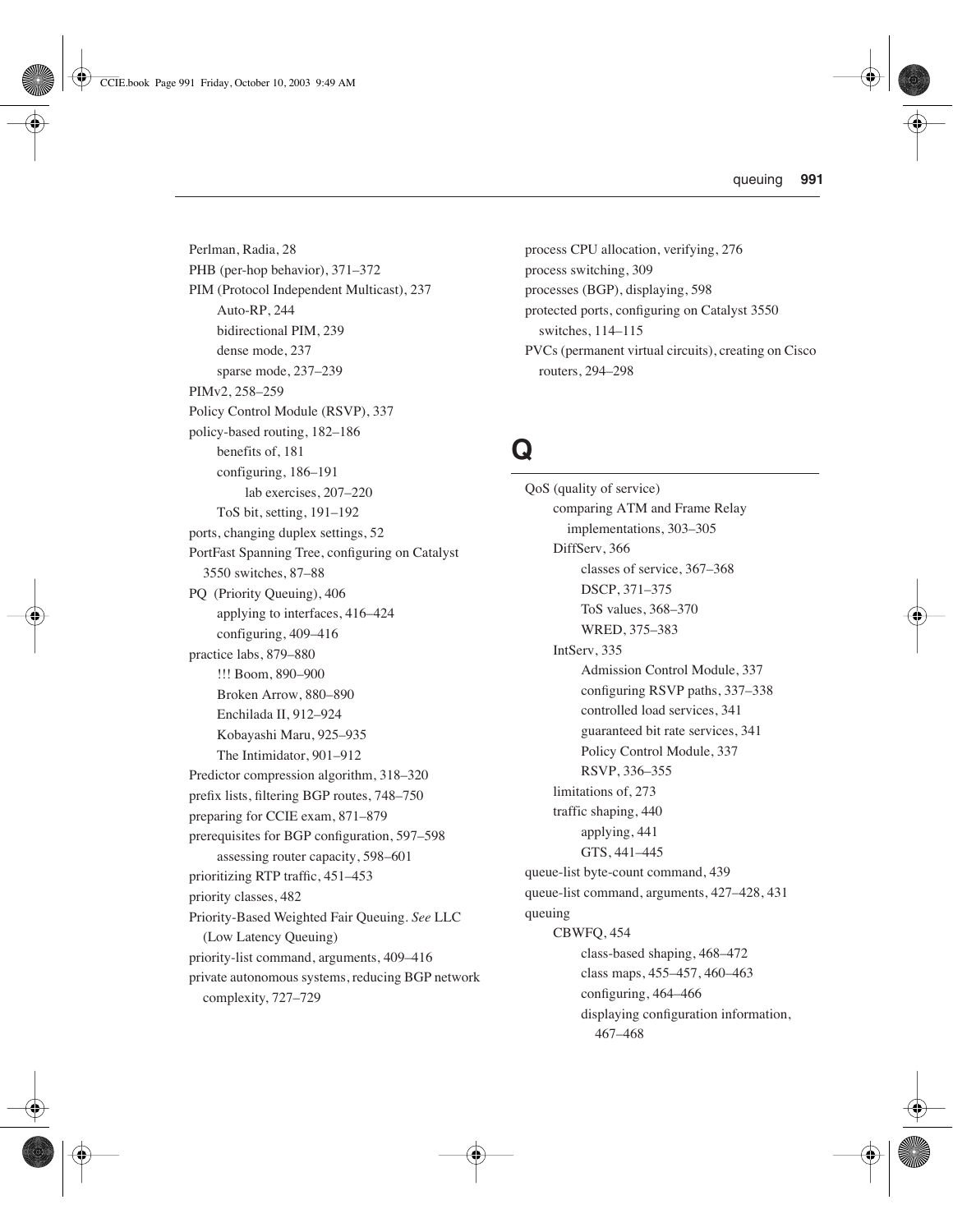Perlman, Radia, 28 PHB (per-hop behavior), 371–372 PIM (Protocol Independent Multicast), 237 Auto-RP, 244 bidirectional PIM, 239 dense mode, 237 sparse mode, 237–239 PIMv2, 258–259 Policy Control Module (RSVP), 337 policy-based routing, 182–186 benefits of, 181 configuring, 186–191 lab exercises, 207–220 ToS bit, setting, 191–192 ports, changing duplex settings, 52 PortFast Spanning Tree, configuring on Catalyst 3550 switches, 87–88 PQ (Priority Queuing), 406 applying to interfaces, 416–424 configuring, 409–416 practice labs, 879–880 !!! Boom, 890–900 Broken Arrow, 880–890 Enchilada II, 912–924 Kobayashi Maru, 925–935 The Intimidator, 901–912 Predictor compression algorithm, 318–320 prefix lists, filtering BGP routes, 748–750 preparing for CCIE exam, 871–879 prerequisites for BGP configuration, 597–598 assessing router capacity, 598–601 prioritizing RTP traffic, 451–453 priority classes, 482 Priority-Based Weighted Fair Queuing. *See* LLC (Low Latency Queuing) priority-list command, arguments, 409–416 private autonomous systems, reducing BGP network complexity, 727–729

process CPU allocation, verifying, 276 process switching, 309 processes (BGP), displaying, 598 protected ports, configuring on Catalyst 3550 switches, 114–115 PVCs (permanent virtual circuits), creating on Cisco routers, 294–298

## **Q**

QoS (quality of service) comparing ATM and Frame Relay implementations, 303–305 DiffServ, 366 classes of service, 367–368 DSCP, 371–375 ToS values, 368–370 WRED, 375–383 IntServ, 335 Admission Control Module, 337 configuring RSVP paths, 337–338 controlled load services, 341 guaranteed bit rate services, 341 Policy Control Module, 337 RSVP, 336–355 limitations of, 273 traffic shaping, 440 applying, 441 GTS, 441–445 queue-list byte-count command, 439 queue-list command, arguments, 427–428, 431 queuing CBWFQ, 454 class-based shaping, 468–472 class maps, 455–457, 460–463 configuring, 464–466 displaying configuration information, 467–468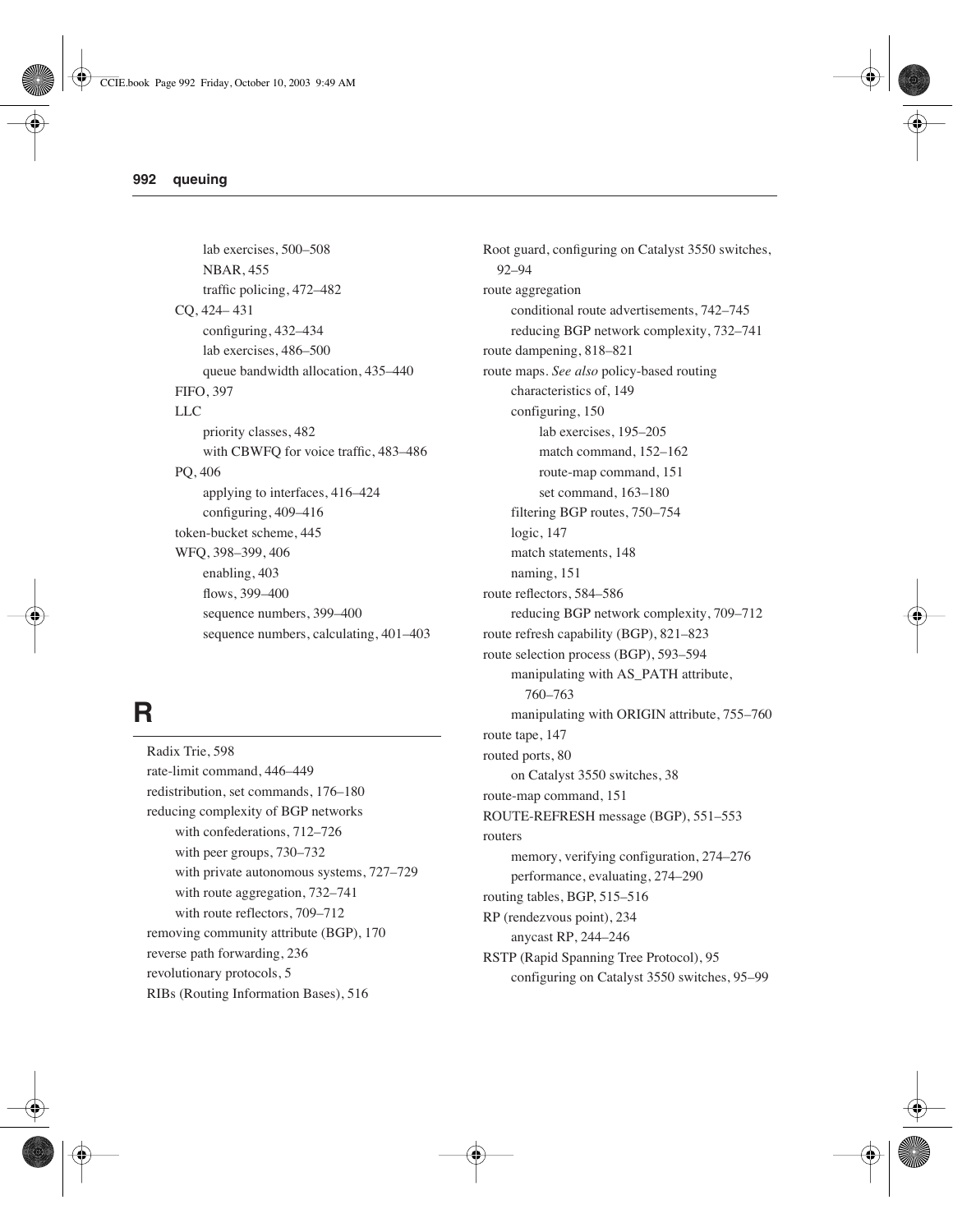```
lab exercises, 500–508
    NBAR, 455
    traffic policing, 472–482
CQ, 424– 431
    configuring, 432–434
    lab exercises, 486–500
    queue bandwidth allocation, 435–440
FIFO, 397
LLC
    priority classes, 482
    with CBWFQ for voice traffic, 483–486
PQ, 406
    applying to interfaces, 416–424
    configuring, 409–416
token-bucket scheme, 445
WFQ, 398–399, 406
    enabling, 403
    flows, 399–400
    sequence numbers, 399–400
    sequence numbers, calculating, 401–403
```
## **R**

Radix Trie, 598 rate-limit command, 446–449 redistribution, set commands, 176–180 reducing complexity of BGP networks with confederations, 712–726 with peer groups, 730–732 with private autonomous systems, 727–729 with route aggregation, 732–741 with route reflectors, 709–712 removing community attribute (BGP), 170 reverse path forwarding, 236 revolutionary protocols, 5 RIBs (Routing Information Bases), 516

Root guard, configuring on Catalyst 3550 switches, 92–94 route aggregation conditional route advertisements, 742–745 reducing BGP network complexity, 732–741 route dampening, 818–821 route maps. *See also* policy-based routing characteristics of, 149 configuring, 150 lab exercises, 195–205 match command, 152–162 route-map command, 151 set command, 163–180 filtering BGP routes, 750–754 logic, 147 match statements, 148 naming, 151 route reflectors, 584–586 reducing BGP network complexity, 709–712 route refresh capability (BGP), 821–823 route selection process (BGP), 593–594 manipulating with AS\_PATH attribute, 760–763 manipulating with ORIGIN attribute, 755–760 route tape, 147 routed ports, 80 on Catalyst 3550 switches, 38 route-map command, 151 ROUTE-REFRESH message (BGP), 551–553 routers memory, verifying configuration, 274–276 performance, evaluating, 274–290 routing tables, BGP, 515–516 RP (rendezvous point), 234 anycast RP, 244–246 RSTP (Rapid Spanning Tree Protocol), 95 configuring on Catalyst 3550 switches, 95–99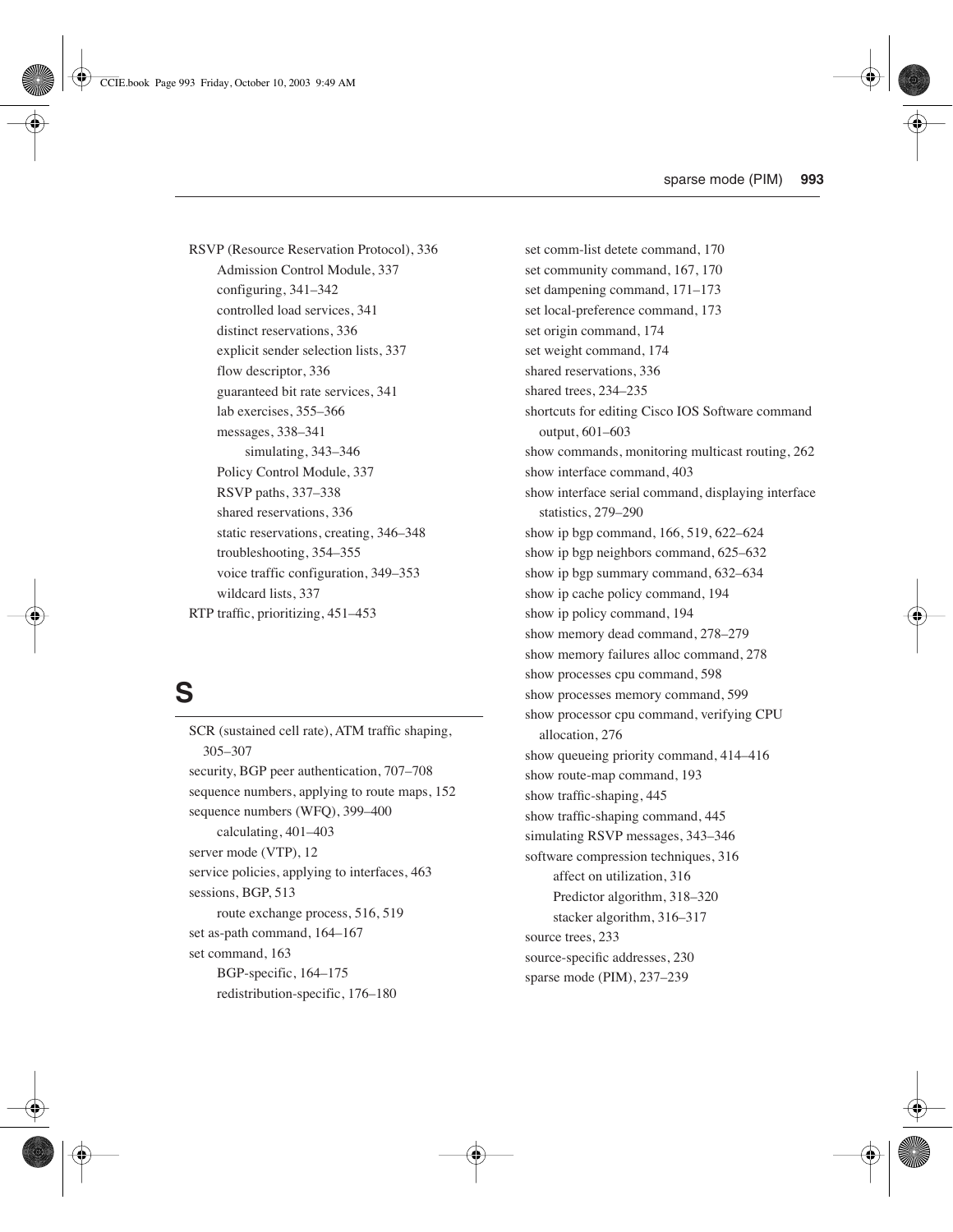RSVP (Resource Reservation Protocol), 336 Admission Control Module, 337 configuring, 341–342 controlled load services, 341 distinct reservations, 336 explicit sender selection lists, 337 flow descriptor, 336 guaranteed bit rate services, 341 lab exercises, 355–366 messages, 338–341 simulating, 343–346 Policy Control Module, 337 RSVP paths, 337–338 shared reservations, 336 static reservations, creating, 346–348 troubleshooting, 354–355 voice traffic configuration, 349–353 wildcard lists, 337 RTP traffic, prioritizing, 451–453

# **S**

SCR (sustained cell rate), ATM traffic shaping, 305–307 security, BGP peer authentication, 707–708 sequence numbers, applying to route maps, 152 sequence numbers (WFQ), 399–400 calculating, 401–403 server mode (VTP), 12 service policies, applying to interfaces, 463 sessions, BGP, 513 route exchange process, 516, 519 set as-path command, 164–167 set command, 163 BGP-specific, 164–175 redistribution-specific, 176–180

set comm-list detete command, 170 set community command, 167, 170 set dampening command, 171–173 set local-preference command, 173 set origin command, 174 set weight command, 174 shared reservations, 336 shared trees, 234–235 shortcuts for editing Cisco IOS Software command output, 601–603 show commands, monitoring multicast routing, 262 show interface command, 403 show interface serial command, displaying interface statistics, 279–290 show ip bgp command, 166, 519, 622–624 show ip bgp neighbors command, 625–632 show ip bgp summary command, 632–634 show ip cache policy command, 194 show ip policy command, 194 show memory dead command, 278–279 show memory failures alloc command, 278 show processes cpu command, 598 show processes memory command, 599 show processor cpu command, verifying CPU allocation, 276 show queueing priority command, 414–416 show route-map command, 193 show traffic-shaping, 445 show traffic-shaping command, 445 simulating RSVP messages, 343–346 software compression techniques, 316 affect on utilization, 316 Predictor algorithm, 318–320 stacker algorithm, 316–317 source trees, 233 source-specific addresses, 230 sparse mode (PIM), 237–239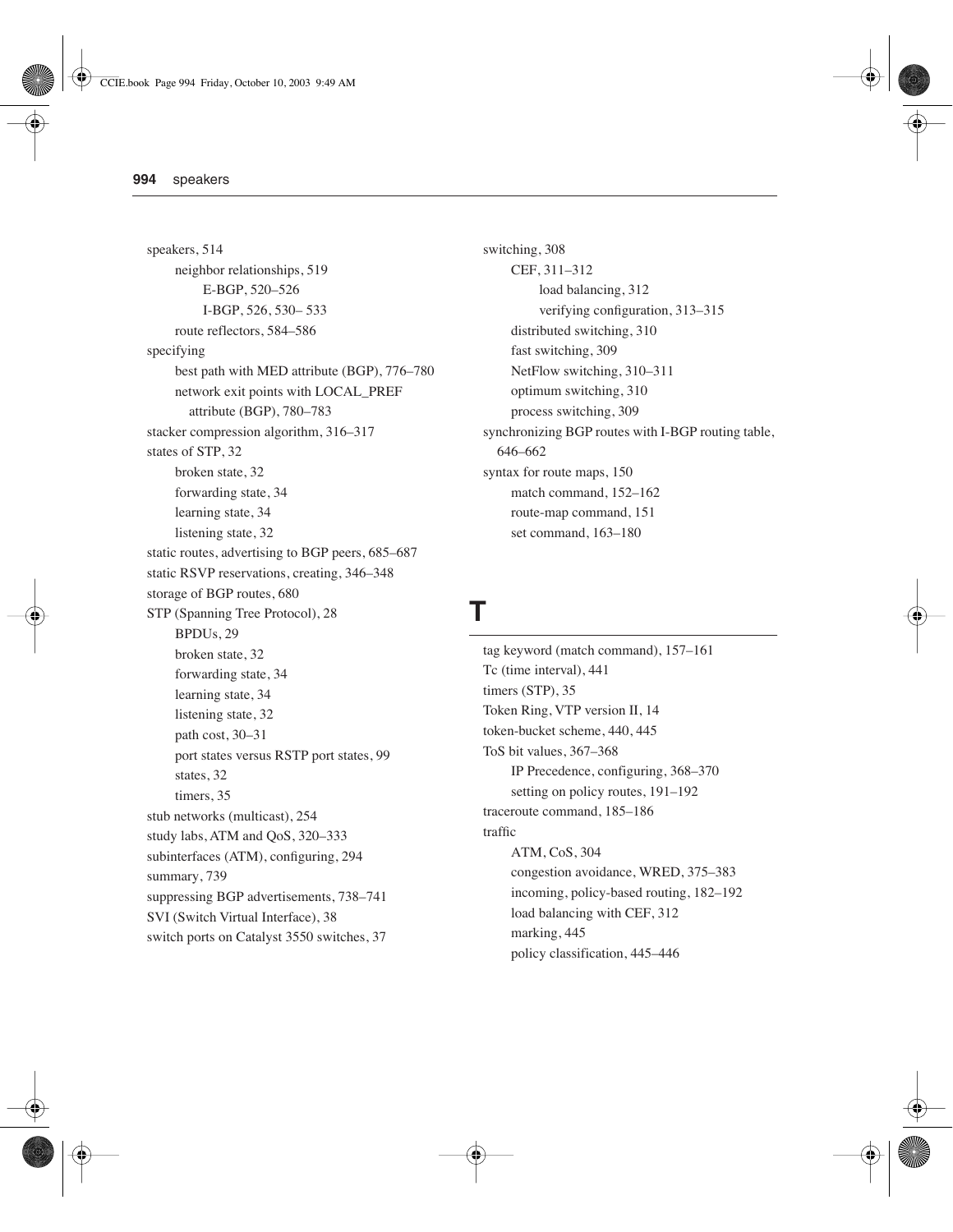speakers, 514 neighbor relationships, 519 E-BGP, 520–526 I-BGP, 526, 530– 533 route reflectors, 584–586 specifying best path with MED attribute (BGP), 776–780 network exit points with LOCAL\_PREF attribute (BGP), 780–783 stacker compression algorithm, 316–317 states of STP, 32 broken state, 32 forwarding state, 34 learning state, 34 listening state, 32 static routes, advertising to BGP peers, 685–687 static RSVP reservations, creating, 346–348 storage of BGP routes, 680 STP (Spanning Tree Protocol), 28 BPDUs, 29 broken state, 32 forwarding state, 34 learning state, 34 listening state, 32 path cost, 30–31 port states versus RSTP port states, 99 states, 32 timers, 35 stub networks (multicast), 254 study labs, ATM and QoS, 320–333 subinterfaces (ATM), configuring, 294 summary, 739 suppressing BGP advertisements, 738–741 SVI (Switch Virtual Interface), 38 switch ports on Catalyst 3550 switches, 37

switching, 308 CEF, 311–312 load balancing, 312 verifying configuration, 313–315 distributed switching, 310 fast switching, 309 NetFlow switching, 310–311 optimum switching, 310 process switching, 309 synchronizing BGP routes with I-BGP routing table, 646–662 syntax for route maps, 150 match command, 152–162 route-map command, 151 set command, 163–180

### **T**

tag keyword (match command), 157–161 Tc (time interval), 441 timers (STP), 35 Token Ring, VTP version II, 14 token-bucket scheme, 440, 445 ToS bit values, 367–368 IP Precedence, configuring, 368–370 setting on policy routes, 191–192 traceroute command, 185–186 traffic ATM, CoS, 304 congestion avoidance, WRED, 375–383 incoming, policy-based routing, 182–192 load balancing with CEF, 312 marking, 445 policy classification, 445–446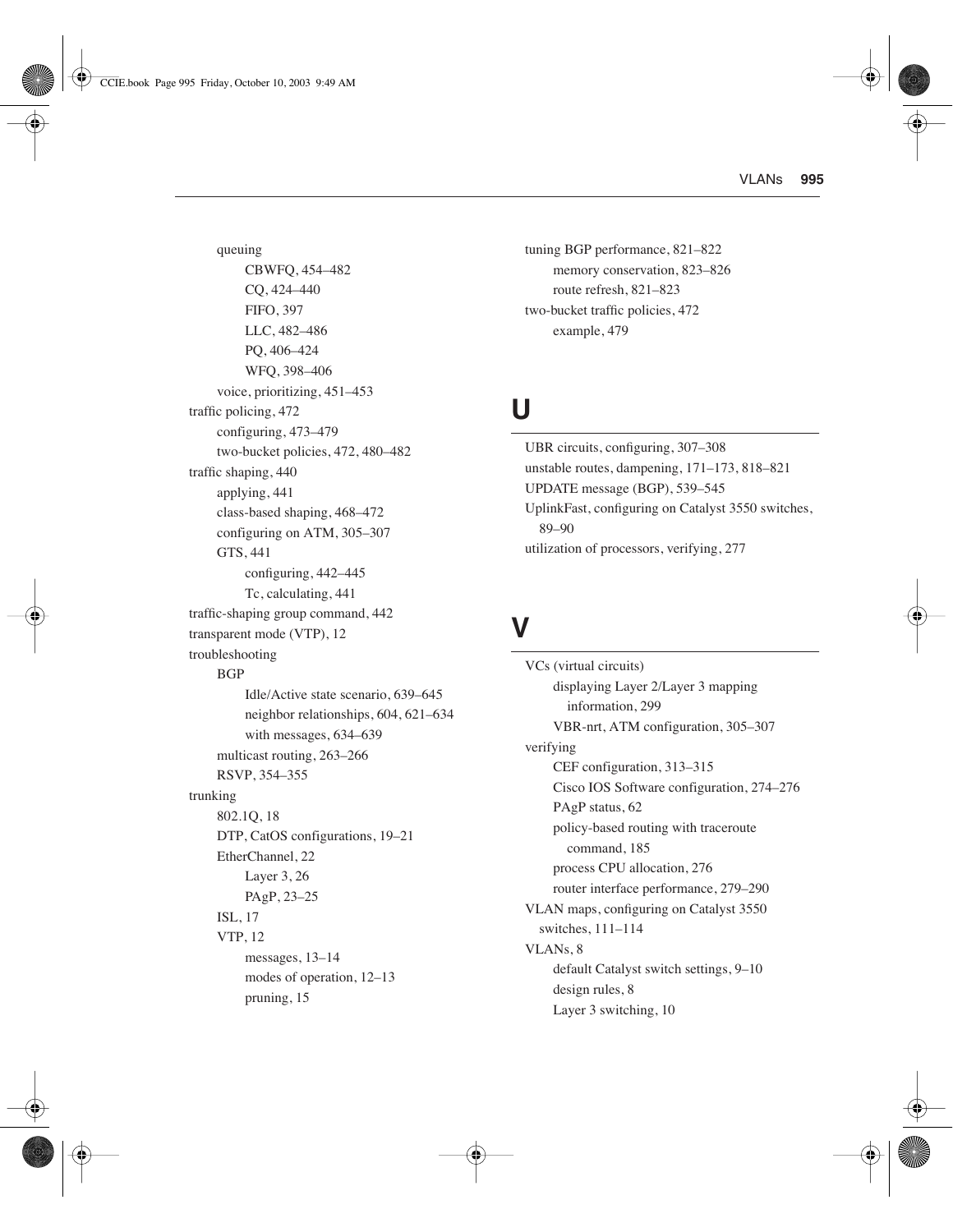queuing CBWFQ, 454–482 CQ, 424–440 FIFO, 397 LLC, 482–486 PQ, 406–424 WFQ, 398–406 voice, prioritizing, 451–453 traffic policing, 472 configuring, 473–479 two-bucket policies, 472, 480–482 traffic shaping, 440 applying, 441 class-based shaping, 468–472 configuring on ATM, 305–307 GTS, 441 configuring, 442–445 Tc, calculating, 441 traffic-shaping group command, 442 transparent mode (VTP), 12 troubleshooting **BGP** Idle/Active state scenario, 639–645 neighbor relationships, 604, 621–634 with messages, 634–639 multicast routing, 263–266 RSVP, 354–355 trunking 802.1Q, 18 DTP, CatOS configurations, 19–21 EtherChannel, 22 Layer 3, 26 PAgP, 23–25 ISL, 17 VTP, 12 messages, 13–14 modes of operation, 12–13 pruning, 15

tuning BGP performance, 821–822 memory conservation, 823–826 route refresh, 821–823 two-bucket traffic policies, 472 example, 479

# **U**

UBR circuits, configuring, 307–308 unstable routes, dampening, 171–173, 818–821 UPDATE message (BGP), 539–545 UplinkFast, configuring on Catalyst 3550 switches, 89–90 utilization of processors, verifying, 277

### **V**

VCs (virtual circuits) displaying Layer 2/Layer 3 mapping information, 299 VBR-nrt, ATM configuration, 305–307 verifying CEF configuration, 313–315 Cisco IOS Software configuration, 274–276 PAgP status, 62 policy-based routing with traceroute command, 185 process CPU allocation, 276 router interface performance, 279–290 VLAN maps, configuring on Catalyst 3550 switches, 111–114 VLANs, 8 default Catalyst switch settings, 9–10 design rules, 8 Layer 3 switching, 10